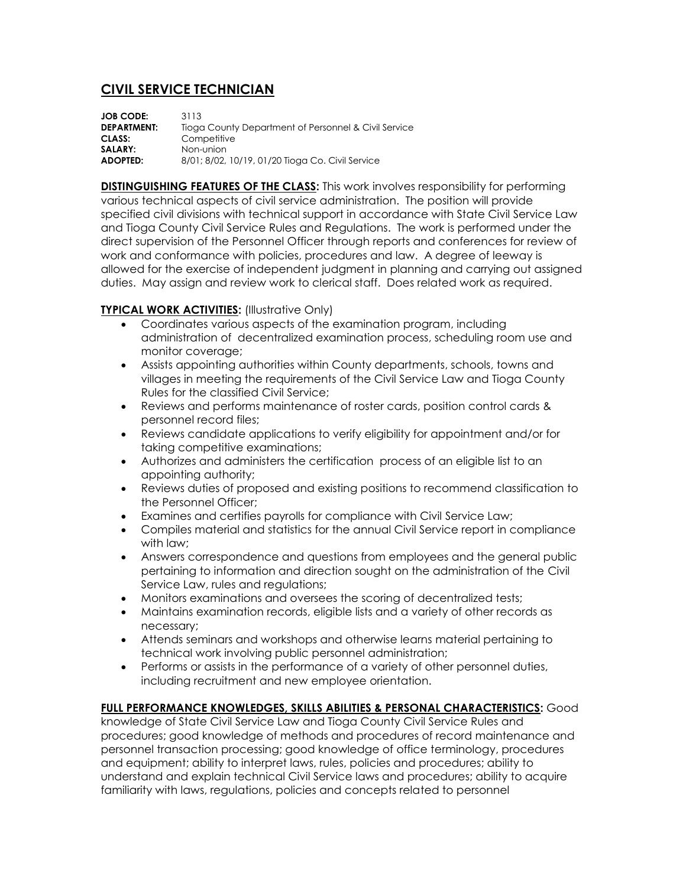## **CIVIL SERVICE TECHNICIAN**

| <b>JOB CODE:</b>   | 3113                                                 |
|--------------------|------------------------------------------------------|
| <b>DEPARTMENT:</b> | Tioga County Department of Personnel & Civil Service |
| CLASS:             | Competitive                                          |
| SALARY:            | Non-union                                            |
| ADOPTED:           | 8/01; 8/02, 10/19, 01/20 Tioga Co. Civil Service     |

**DISTINGUISHING FEATURES OF THE CLASS:** This work involves responsibility for performing various technical aspects of civil service administration. The position will provide specified civil divisions with technical support in accordance with State Civil Service Law and Tioga County Civil Service Rules and Regulations. The work is performed under the direct supervision of the Personnel Officer through reports and conferences for review of work and conformance with policies, procedures and law. A degree of leeway is allowed for the exercise of independent judgment in planning and carrying out assigned duties. May assign and review work to clerical staff. Does related work as required.

## **TYPICAL WORK ACTIVITIES:** (Illustrative Only)

- Coordinates various aspects of the examination program, including administration of decentralized examination process, scheduling room use and monitor coverage;
- Assists appointing authorities within County departments, schools, towns and villages in meeting the requirements of the Civil Service Law and Tioga County Rules for the classified Civil Service;
- Reviews and performs maintenance of roster cards, position control cards & personnel record files;
- Reviews candidate applications to verify eligibility for appointment and/or for taking competitive examinations;
- Authorizes and administers the certification process of an eligible list to an appointing authority;
- Reviews duties of proposed and existing positions to recommend classification to the Personnel Officer;
- Examines and certifies payrolls for compliance with Civil Service Law;
- Compiles material and statistics for the annual Civil Service report in compliance with law;
- Answers correspondence and questions from employees and the general public pertaining to information and direction sought on the administration of the Civil Service Law, rules and regulations;
- Monitors examinations and oversees the scoring of decentralized tests;
- Maintains examination records, eligible lists and a variety of other records as necessary;
- Attends seminars and workshops and otherwise learns material pertaining to technical work involving public personnel administration;
- Performs or assists in the performance of a variety of other personnel duties, including recruitment and new employee orientation.

## **FULL PERFORMANCE KNOWLEDGES, SKILLS ABILITIES & PERSONAL CHARACTERISTICS:** Good

knowledge of State Civil Service Law and Tioga County Civil Service Rules and procedures; good knowledge of methods and procedures of record maintenance and personnel transaction processing; good knowledge of office terminology, procedures and equipment; ability to interpret laws, rules, policies and procedures; ability to understand and explain technical Civil Service laws and procedures; ability to acquire familiarity with laws, regulations, policies and concepts related to personnel